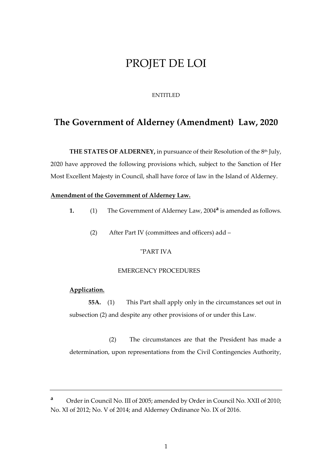# PROJET DE LOI

#### ENTITLED

## **The Government of Alderney (Amendment) Law, 2020**

**THE STATES OF ALDERNEY, in pursuance of their Resolution of the 8<sup>th</sup> July,** 2020 have approved the following provisions which, subject to the Sanction of Her Most Excellent Majesty in Council, shall have force of law in the Island of Alderney.

#### **Amendment of the Government of Alderney Law.**

- **1.** (1) The Government of Alderney Law, 2004**<sup>a</sup>** is amended as follows.
	- (2) After Part IV (committees and officers) add –

#### "PART IVA

#### EMERGENCY PROCEDURES

## **Application.**

**55A.** (1) This Part shall apply only in the circumstances set out in subsection (2) and despite any other provisions of or under this Law.

(2) The circumstances are that the President has made a determination, upon representations from the Civil Contingencies Authority,

**<sup>a</sup>** Order in Council No. III of 2005; amended by Order in Council No. XXII of 2010; No. XI of 2012; No. V of 2014; and Alderney Ordinance No. IX of 2016.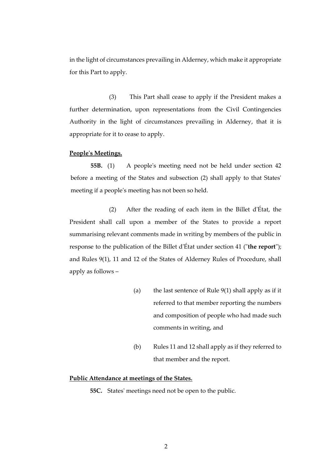in the light of circumstances prevailing in Alderney, which make it appropriate for this Part to apply.

(3) This Part shall cease to apply if the President makes a further determination, upon representations from the Civil Contingencies Authority in the light of circumstances prevailing in Alderney, that it is appropriate for it to cease to apply.

#### **People's Meetings.**

**55B.** (1) A people's meeting need not be held under section 42 before a meeting of the States and subsection (2) shall apply to that States' meeting if a people's meeting has not been so held.

(2) After the reading of each item in the Billet d'État, the President shall call upon a member of the States to provide a report summarising relevant comments made in writing by members of the public in response to the publication of the Billet d'État under section 41 ("**the report**"); and Rules 9(1), 11 and 12 of the States of Alderney Rules of Procedure, shall apply as follows –

- (a) the last sentence of Rule 9(1) shall apply as if it referred to that member reporting the numbers and composition of people who had made such comments in writing, and
- (b) Rules 11 and 12 shall apply as if they referred to that member and the report.

### **Public Attendance at meetings of the States.**

**55C.** States' meetings need not be open to the public.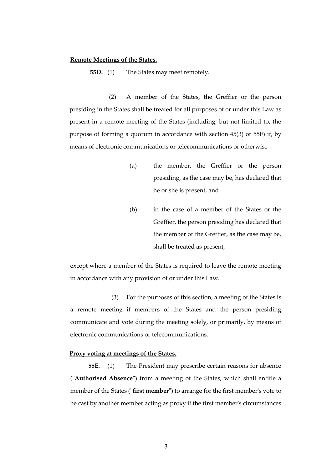### **Remote Meetings of the States.**

**55D.** (1) The States may meet remotely.

(2) A member of the States, the Greffier or the person presiding in the States shall be treated for all purposes of or under this Law as present in a remote meeting of the States (including, but not limited to, the purpose of forming a quorum in accordance with section 45(3) or 55F) if, by means of electronic communications or telecommunications or otherwise –

- (a) the member, the Greffier or the person presiding, as the case may be, has declared that he or she is present, and
- (b) in the case of a member of the States or the Greffier, the person presiding has declared that the member or the Greffier, as the case may be, shall be treated as present,

except where a member of the States is required to leave the remote meeting in accordance with any provision of or under this Law.

(3) For the purposes of this section, a meeting of the States is a remote meeting if members of the States and the person presiding communicate and vote during the meeting solely, or primarily, by means of electronic communications or telecommunications.

## **Proxy voting at meetings of the States.**

**55E.** (1) The President may prescribe certain reasons for absence ("**Authorised Absence"**) from a meeting of the States, which shall entitle a member of the States ("**first member**") to arrange for the first member's vote to be cast by another member acting as proxy if the first member's circumstances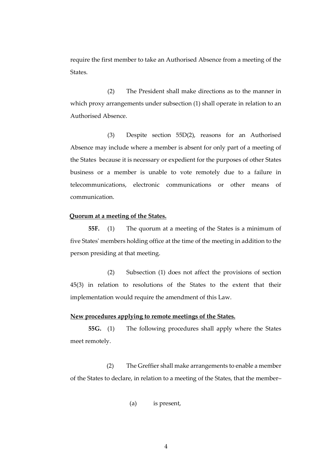require the first member to take an Authorised Absence from a meeting of the States.

(2) The President shall make directions as to the manner in which proxy arrangements under subsection (1) shall operate in relation to an Authorised Absence.

(3) Despite section 55D(2), reasons for an Authorised Absence may include where a member is absent for only part of a meeting of the States because it is necessary or expedient for the purposes of other States business or a member is unable to vote remotely due to a failure in telecommunications, electronic communications or other means of communication.

## **Quorum at a meeting of the States.**

**55F.** (1) The quorum at a meeting of the States is a minimum of five States' members holding office at the time of the meeting in addition to the person presiding at that meeting.

(2) Subsection (1) does not affect the provisions of section 45(3) in relation to resolutions of the States to the extent that their implementation would require the amendment of this Law.

#### **New procedures applying to remote meetings of the States.**

**55G.** (1) The following procedures shall apply where the States meet remotely.

(2) The Greffier shall make arrangements to enable a member of the States to declare, in relation to a meeting of the States, that the member–

(a) is present,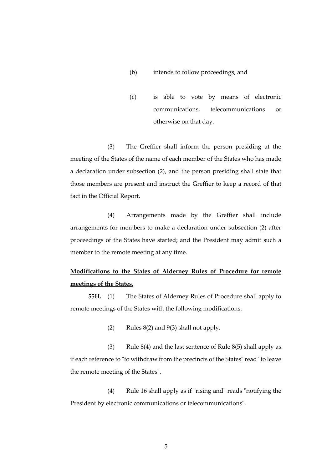## (b) intends to follow proceedings, and

(c) is able to vote by means of electronic communications, telecommunications or otherwise on that day.

(3) The Greffier shall inform the person presiding at the meeting of the States of the name of each member of the States who has made a declaration under subsection (2), and the person presiding shall state that those members are present and instruct the Greffier to keep a record of that fact in the Official Report.

(4) Arrangements made by the Greffier shall include arrangements for members to make a declaration under subsection (2) after proceedings of the States have started; and the President may admit such a member to the remote meeting at any time.

## **Modifications to the States of Alderney Rules of Procedure for remote meetings of the States.**

**55H.** (1) The States of Alderney Rules of Procedure shall apply to remote meetings of the States with the following modifications.

(2) Rules  $8(2)$  and  $9(3)$  shall not apply.

(3) Rule  $8(4)$  and the last sentence of Rule  $8(5)$  shall apply as if each reference to "to withdraw from the precincts of the States" read "to leave the remote meeting of the States".

(4) Rule 16 shall apply as if "rising and" reads "notifying the President by electronic communications or telecommunications".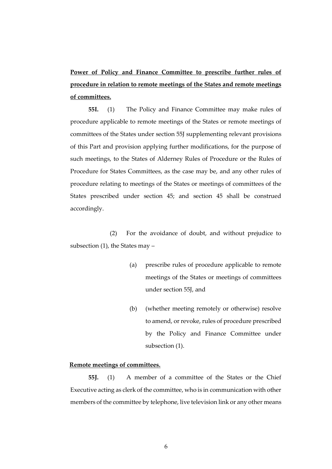**Power of Policy and Finance Committee to prescribe further rules of procedure in relation to remote meetings of the States and remote meetings of committees.**

**55I.** (1) The Policy and Finance Committee may make rules of procedure applicable to remote meetings of the States or remote meetings of committees of the States under section 55J supplementing relevant provisions of this Part and provision applying further modifications, for the purpose of such meetings, to the States of Alderney Rules of Procedure or the Rules of Procedure for States Committees, as the case may be, and any other rules of procedure relating to meetings of the States or meetings of committees of the States prescribed under section 45; and section 45 shall be construed accordingly.

(2) For the avoidance of doubt, and without prejudice to subsection (1), the States may –

- (a) prescribe rules of procedure applicable to remote meetings of the States or meetings of committees under section 55J, and
- (b) (whether meeting remotely or otherwise) resolve to amend, or revoke, rules of procedure prescribed by the Policy and Finance Committee under subsection (1).

## **Remote meetings of committees.**

**55J.** (1) A member of a committee of the States or the Chief Executive acting as clerk of the committee, who is in communication with other members of the committee by telephone, live television link or any other means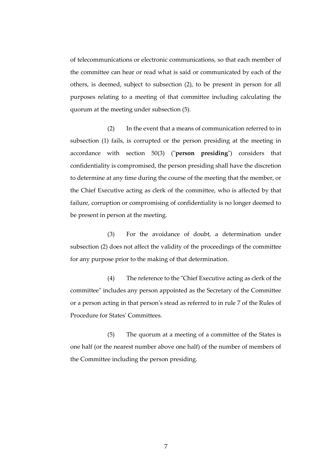of telecommunications or electronic communications, so that each member of the committee can hear or read what is said or communicated by each of the others, is deemed, subject to subsection (2), to be present in person for all purposes relating to a meeting of that committee including calculating the quorum at the meeting under subsection (5).

(2) In the event that a means of communication referred to in subsection (1) fails, is corrupted or the person presiding at the meeting in accordance with section 50(3) ("**person presiding**") considers that confidentiality is compromised, the person presiding shall have the discretion to determine at any time during the course of the meeting that the member, or the Chief Executive acting as clerk of the committee, who is affected by that failure, corruption or compromising of confidentiality is no longer deemed to be present in person at the meeting.

(3) For the avoidance of doubt, a determination under subsection (2) does not affect the validity of the proceedings of the committee for any purpose prior to the making of that determination.

(4) The reference to the "Chief Executive acting as clerk of the committee" includes any person appointed as the Secretary of the Committee or a person acting in that person's stead as referred to in rule 7 of the Rules of Procedure for States' Committees.

(5) The quorum at a meeting of a committee of the States is one half (or the nearest number above one half) of the number of members of the Committee including the person presiding.

7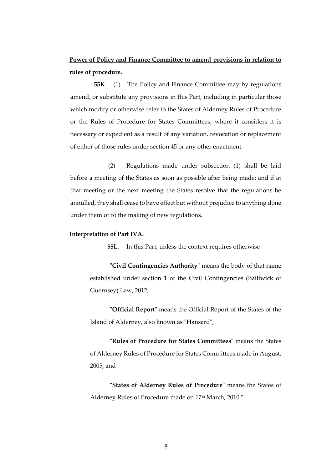## **Power of Policy and Finance Committee to amend provisions in relation to rules of procedure.**

**55K**. (1) The Policy and Finance Committee may by regulations amend, or substitute any provisions in this Part, including in particular those which modify or otherwise refer to the States of Alderney Rules of Procedure or the Rules of Procedure for States Committees, where it considers it is necessary or expedient as a result of any variation, revocation or replacement of either of those rules under section 45 or any other enactment.

(2) Regulations made under subsection (1) shall be laid before a meeting of the States as soon as possible after being made: and if at that meeting or the next meeting the States resolve that the regulations be annulled, they shall cease to have effect but without prejudice to anything done under them or to the making of new regulations.

## **Interpretation of Part IVA.**

**55L.** In this Part, unless the context requires otherwise –

"**Civil Contingencies Authority**" means the body of that name established under section 1 of the Civil Contingencies (Bailiwick of Guernsey) Law, 2012,

"**Official Report**" means the Official Report of the States of the Island of Alderney, also known as "Hansard",

"**Rules of Procedure for States Committees**" means the States of Alderney Rules of Procedure for States Committees made in August, 2005, and

**"States of Alderney Rules of Procedure**" means the States of Alderney Rules of Procedure made on 17<sup>th</sup> March, 2010.".